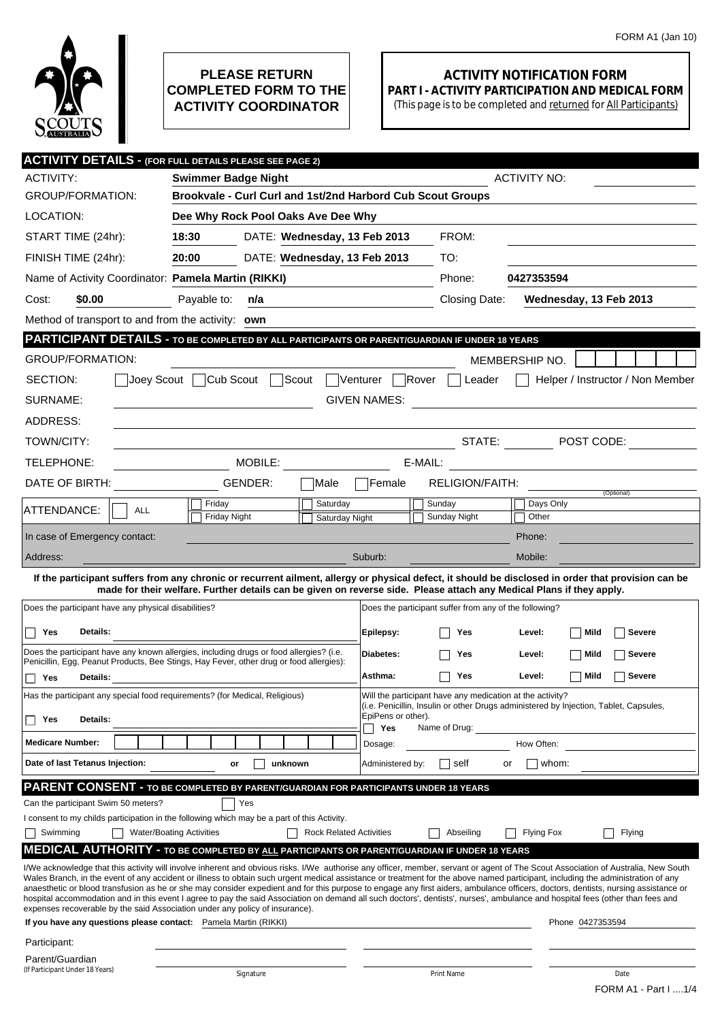

## **PLEASE RETURN COMPLETED FORM TO THE ACTIVITY COORDINATOR**

## **ACTIVITY NOTIFICATION FORM PART I - ACTIVITY PARTICIPATION AND MEDICAL FORM**

(This page is to be completed and returned for All Participants)

|                                                                                                                                                                                                                                                                                                                                                                        | <b>ACTIVITY DETAILS - (FOR FULL DETAILS PLEASE SEE PAGE 2)</b>                                                                                                                                                                    |                                |                                                        |                                                                                                                                                                                    |  |  |  |
|------------------------------------------------------------------------------------------------------------------------------------------------------------------------------------------------------------------------------------------------------------------------------------------------------------------------------------------------------------------------|-----------------------------------------------------------------------------------------------------------------------------------------------------------------------------------------------------------------------------------|--------------------------------|--------------------------------------------------------|------------------------------------------------------------------------------------------------------------------------------------------------------------------------------------|--|--|--|
| <b>ACTIVITY:</b>                                                                                                                                                                                                                                                                                                                                                       | <b>Swimmer Badge Night</b>                                                                                                                                                                                                        |                                | <b>ACTIVITY NO:</b>                                    |                                                                                                                                                                                    |  |  |  |
| <b>GROUP/FORMATION:</b>                                                                                                                                                                                                                                                                                                                                                | Brookvale - Curl Curl and 1st/2nd Harbord Cub Scout Groups                                                                                                                                                                        |                                |                                                        |                                                                                                                                                                                    |  |  |  |
| LOCATION:                                                                                                                                                                                                                                                                                                                                                              | Dee Why Rock Pool Oaks Ave Dee Why                                                                                                                                                                                                |                                |                                                        |                                                                                                                                                                                    |  |  |  |
| START TIME (24hr):                                                                                                                                                                                                                                                                                                                                                     | 18:30<br>DATE: Wednesday, 13 Feb 2013                                                                                                                                                                                             |                                | FROM:                                                  |                                                                                                                                                                                    |  |  |  |
| FINISH TIME (24hr):                                                                                                                                                                                                                                                                                                                                                    | 20:00<br>DATE: Wednesday, 13 Feb 2013                                                                                                                                                                                             |                                | TO:                                                    |                                                                                                                                                                                    |  |  |  |
| Name of Activity Coordinator: Pamela Martin (RIKKI)                                                                                                                                                                                                                                                                                                                    |                                                                                                                                                                                                                                   |                                | Phone:                                                 | 0427353594                                                                                                                                                                         |  |  |  |
| \$0.00<br>Cost:                                                                                                                                                                                                                                                                                                                                                        | Payable to:<br>n/a                                                                                                                                                                                                                |                                | Closing Date:                                          | Wednesday, 13 Feb 2013                                                                                                                                                             |  |  |  |
| Method of transport to and from the activity: own                                                                                                                                                                                                                                                                                                                      |                                                                                                                                                                                                                                   |                                |                                                        |                                                                                                                                                                                    |  |  |  |
| <b>PARTICIPANT DETAILS - TO BE COMPLETED BY ALL PARTICIPANTS OR PARENT/GUARDIAN IF UNDER 18 YEARS</b>                                                                                                                                                                                                                                                                  |                                                                                                                                                                                                                                   |                                |                                                        |                                                                                                                                                                                    |  |  |  |
| <b>GROUP/FORMATION:</b>                                                                                                                                                                                                                                                                                                                                                |                                                                                                                                                                                                                                   |                                |                                                        | MEMBERSHIP NO.                                                                                                                                                                     |  |  |  |
| SECTION:                                                                                                                                                                                                                                                                                                                                                               | Joey Scout Cub Scout Scout                                                                                                                                                                                                        | Venturer Rover                 | Leader                                                 | Helper / Instructor / Non Member                                                                                                                                                   |  |  |  |
| SURNAME:<br><b>GIVEN NAMES:</b>                                                                                                                                                                                                                                                                                                                                        |                                                                                                                                                                                                                                   |                                |                                                        |                                                                                                                                                                                    |  |  |  |
| ADDRESS:                                                                                                                                                                                                                                                                                                                                                               |                                                                                                                                                                                                                                   |                                |                                                        |                                                                                                                                                                                    |  |  |  |
| TOWN/CITY:                                                                                                                                                                                                                                                                                                                                                             |                                                                                                                                                                                                                                   |                                | STATE:                                                 | $\blacksquare$ POST CODE:                                                                                                                                                          |  |  |  |
| TELEPHONE:                                                                                                                                                                                                                                                                                                                                                             | MOBILE:                                                                                                                                                                                                                           | E-MAIL:                        |                                                        |                                                                                                                                                                                    |  |  |  |
| DATE OF BIRTH:                                                                                                                                                                                                                                                                                                                                                         | GENDER:<br>Male                                                                                                                                                                                                                   | Female                         | RELIGION/FAITH:                                        |                                                                                                                                                                                    |  |  |  |
|                                                                                                                                                                                                                                                                                                                                                                        | Friday<br>Saturday                                                                                                                                                                                                                |                                | Sunday                                                 | (Optional)<br>Days Only                                                                                                                                                            |  |  |  |
| ATTENDANCE:<br><b>ALL</b>                                                                                                                                                                                                                                                                                                                                              | Friday Night                                                                                                                                                                                                                      | <b>Saturday Night</b>          | Sunday Night                                           | Other                                                                                                                                                                              |  |  |  |
| In case of Emergency contact:                                                                                                                                                                                                                                                                                                                                          |                                                                                                                                                                                                                                   |                                |                                                        | Phone:                                                                                                                                                                             |  |  |  |
| Address:                                                                                                                                                                                                                                                                                                                                                               |                                                                                                                                                                                                                                   | Suburb:                        |                                                        | Mobile:                                                                                                                                                                            |  |  |  |
| If the participant suffers from any chronic or recurrent ailment, allergy or physical defect, it should be disclosed in order that provision can be                                                                                                                                                                                                                    |                                                                                                                                                                                                                                   |                                |                                                        |                                                                                                                                                                                    |  |  |  |
| Does the participant have any physical disabilities?                                                                                                                                                                                                                                                                                                                   | made for their welfare. Further details can be given on reverse side. Please attach any Medical Plans if they apply.                                                                                                              |                                | Does the participant suffer from any of the following? |                                                                                                                                                                                    |  |  |  |
|                                                                                                                                                                                                                                                                                                                                                                        |                                                                                                                                                                                                                                   |                                |                                                        |                                                                                                                                                                                    |  |  |  |
| Yes<br>Details:                                                                                                                                                                                                                                                                                                                                                        |                                                                                                                                                                                                                                   | Epilepsy:                      | Yes                                                    | Mild<br>Severe<br>Level:                                                                                                                                                           |  |  |  |
|                                                                                                                                                                                                                                                                                                                                                                        | Does the participant have any known allergies, including drugs or food allergies? (i.e.<br>Penicillin, Egg, Peanut Products, Bee Stings, Hay Fever, other drug or food allergies):                                                | Diabetes:                      | Yes                                                    | Mild<br>Severe<br>Level:                                                                                                                                                           |  |  |  |
| Yes<br>Details:                                                                                                                                                                                                                                                                                                                                                        |                                                                                                                                                                                                                                   | Asthma:                        | Yes                                                    | Mild<br><b>Severe</b><br>Level:                                                                                                                                                    |  |  |  |
|                                                                                                                                                                                                                                                                                                                                                                        | Will the participant have any medication at the activity?<br>Has the participant any special food requirements? (for Medical, Religious)<br>(i.e. Penicillin, Insulin or other Drugs administered by Injection, Tablet, Capsules, |                                |                                                        |                                                                                                                                                                                    |  |  |  |
| <b>Details:</b><br>Yes                                                                                                                                                                                                                                                                                                                                                 |                                                                                                                                                                                                                                   | EpiPens or other).             |                                                        |                                                                                                                                                                                    |  |  |  |
| <b>Medicare Number:</b>                                                                                                                                                                                                                                                                                                                                                |                                                                                                                                                                                                                                   | Yes<br>Dosage:                 | Name of Drug:                                          | How Often:                                                                                                                                                                         |  |  |  |
| Date of last Tetanus Injection:                                                                                                                                                                                                                                                                                                                                        | unknown<br>or                                                                                                                                                                                                                     | Administered by:               | self                                                   | whom:<br>or                                                                                                                                                                        |  |  |  |
|                                                                                                                                                                                                                                                                                                                                                                        |                                                                                                                                                                                                                                   |                                |                                                        |                                                                                                                                                                                    |  |  |  |
| Can the participant Swim 50 meters?                                                                                                                                                                                                                                                                                                                                    | <b>PARENT CONSENT - TO BE COMPLETED BY PARENT/GUARDIAN FOR PARTICIPANTS UNDER 18 YEARS</b><br>Yes                                                                                                                                 |                                |                                                        |                                                                                                                                                                                    |  |  |  |
|                                                                                                                                                                                                                                                                                                                                                                        | I consent to my childs participation in the following which may be a part of this Activity.                                                                                                                                       |                                |                                                        |                                                                                                                                                                                    |  |  |  |
| Swimming                                                                                                                                                                                                                                                                                                                                                               | <b>Water/Boating Activities</b>                                                                                                                                                                                                   | <b>Rock Related Activities</b> | Abseiling                                              | <b>Flying Fox</b><br>Flying                                                                                                                                                        |  |  |  |
|                                                                                                                                                                                                                                                                                                                                                                        | <b>MEDICAL AUTHORITY - TO BE COMPLETED BY ALL PARTICIPANTS OR PARENT/GUARDIAN IF UNDER 18 YEARS</b>                                                                                                                               |                                |                                                        |                                                                                                                                                                                    |  |  |  |
| I/We acknowledge that this activity will involve inherent and obvious risks. I/We authorise any officer, member, servant or agent of The Scout Association of Australia, New South<br>Wales Branch, in the event of any accident or illness to obtain such urgent medical assistance or treatment for the above named participant, including the administration of any |                                                                                                                                                                                                                                   |                                |                                                        |                                                                                                                                                                                    |  |  |  |
|                                                                                                                                                                                                                                                                                                                                                                        |                                                                                                                                                                                                                                   |                                |                                                        | anaesthetic or blood transfusion as he or she may consider expedient and for this purpose to engage any first aiders, ambulance officers, doctors, dentists, nursing assistance or |  |  |  |
|                                                                                                                                                                                                                                                                                                                                                                        | expenses recoverable by the said Association under any policy of insurance).                                                                                                                                                      |                                |                                                        | hospital accommodation and in this event I agree to pay the said Association on demand all such doctors', dentists', nurses', ambulance and hospital fees (other than fees and     |  |  |  |
| If you have any questions please contact: Pamela Martin (RIKKI)                                                                                                                                                                                                                                                                                                        |                                                                                                                                                                                                                                   |                                |                                                        | Phone 0427353594                                                                                                                                                                   |  |  |  |
| Participant:                                                                                                                                                                                                                                                                                                                                                           |                                                                                                                                                                                                                                   |                                |                                                        |                                                                                                                                                                                    |  |  |  |
| Parent/Guardian<br>(If Participant Under 18 Years)                                                                                                                                                                                                                                                                                                                     |                                                                                                                                                                                                                                   |                                |                                                        |                                                                                                                                                                                    |  |  |  |
|                                                                                                                                                                                                                                                                                                                                                                        | Signature                                                                                                                                                                                                                         |                                | Print Name                                             | Date<br>FORM A1 - Part I 1/4                                                                                                                                                       |  |  |  |